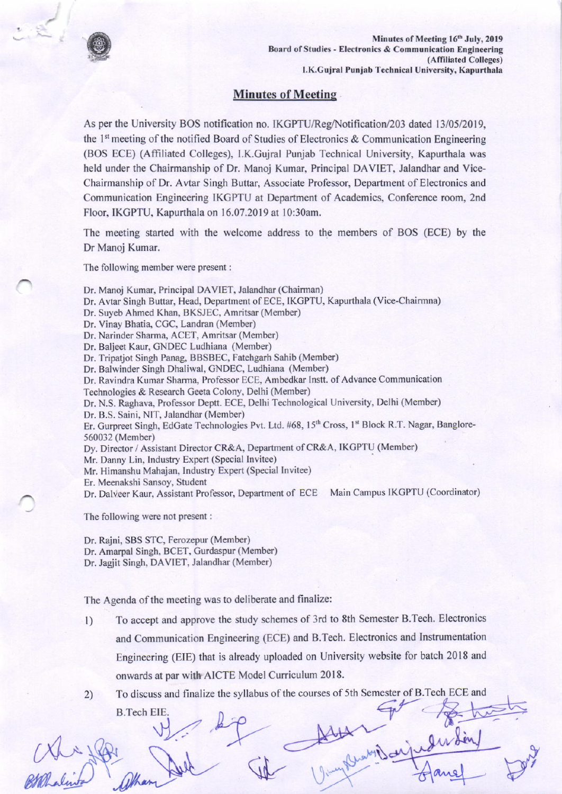

## **Minutes of Meeting**

As per the University BOS notification no. IKGPTU/Reg/Notification/203 dated 13/05/2019, the 1<sup>st</sup> meeting of the notified Board of Studies of Electronics & Communication Engineering (BOS ECE) (Affiliated Colleges), I.K.Gujral Punjab Technical University, Kapurthala was held under the Chairmanship of Dr. Manoj Kumar, Principal DAVIET, Jalandhar and Vice-Chairmanship of Dr. Avtar Singh Buttar, Associate Professor, Department of Electronics and Communication Engineering IKGPTU at Department of Academics, Conference room, 2nd Floor, IKGPTU, Kapurthala on 16.07.2019 at 10:30am.

The meeting started with the welcome address to the members of BOS (ECE) by the Dr Manoj Kumar.

The following member were present:

Dr. Manoj Kumar, Principal DAVIET, Jalandhar (Chairman)

Dr. Avtar Singh Buttar, Head, Department of ECE, IKGPTU, Kapurthala (Vice-Chairmna)

Dr. Suyeb Ahmed Khan, BKSJEC, Amritsar (Member)

- Dr. Vinay Bhatia, CGC, Landran (Member)
- Dr. Narinder Sharma, ACET, Amritsar (Member)
- Dr. Baljeet Kaur, GNDEC Ludhiana (Member)

Dr. Tripatiot Singh Panag, BBSBEC, Fatehgarh Sahib (Member)

Dr. Balwinder Singh Dhaliwal, GNDEC, Ludhiana (Member)

Dr. Ravindra Kumar Sharma, Professor ECE, Ambedkar Instt. of Advance Communication

Technologies & Research Geeta Colony, Delhi (Member)

Dr. N.S. Raghava, Professor Deptt. ECE, Delhi Technological University, Delhi (Member)

Dr. B.S. Saini, NIT, Jalandhar (Member)

Er. Gurpreet Singh, EdGate Technologies Pvt. Ltd. #68, 15<sup>th</sup> Cross, 1<sup>st</sup> Block R.T. Nagar, Banglore-560032 (Member)

Dy. Director / Assistant Director CR&A, Department of CR&A, IKGPTU (Member)

Mr. Danny Lin, Industry Expert (Special Invitee)

Mr. Himanshu Mahajan, Industry Expert (Special Invitee)

Er. Meenakshi Sansoy, Student

Dr. Dalveer Kaur, Assistant Professor, Department of ECE Main Campus IKGPTU (Coordinator)

The following were not present :

Dr. Rajni, SBS STC, Ferozepur (Member) Dr. Amarpal Singh, BCET, Gurdaspur (Member) Dr. Jagjit Singh, DAVIET, Jalandhar (Member)

The Agenda of the meeting was to deliberate and finalize:

To accept and approve the study schemes of 3rd to 8th Semester B.Tech. Electronics  $1)$ and Communication Engineering (ECE) and B.Tech. Electronics and Instrumentation Engineering (EIE) that is already uploaded on University website for batch 2018 and onwards at par with AICTE Model Curriculum 2018.

To discuss and finalize the syllabus of the courses of 5th Semester of B.Tech ECE and  $2)$ 

**B.Tech EIE**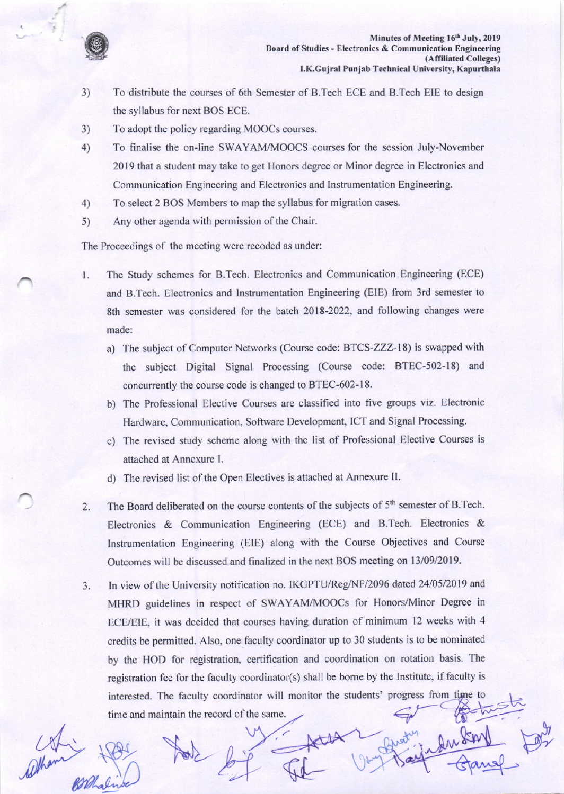

- 3) To distribute the courses of 6th Semester of B.Tech ECE and B.Tech EIE to design the syllabus for next BOS ECE.
- 3) To adopt the policy regarding MOOCS courses.
- 4) To finalise the on-line SWAYAM/MOOCS courses for the session July-November 2019 that a student may take to get Honors degree or Minor degree in Electronics and Communication Engineering and Electronics and lnstrumentation Engineering.
- 4) To select 2 BOS Members to map the syllabus for migration cases.
- 5) Any other agenda with permission of the Chair.

The Proceedings of the meeting were recoded as under:

- t. The Study schemes for B.Tech. Electronics and Communication Engineering (ECE) and B.Tech. Electronics and lnstrumentation Engineering (EIE) fiom 3rd semester to 8th semester was considered for the batch 2018-2022, and following changes were made:
	- a) The subject of Computer Networks (Course code: BTCS-ZZZ-18) is swapped with the subject Digital Signal Processing (Course code: BTEC-502-18) and concurently the course code is changed to BTEC-602-18.
	- b) The Professional Elective Courses are classified into five groups viz. Electronic Hardware, Communication, Software Development, ICT and Signal Processing.
	- c) The revised study scheme along with the list of Professional Elective Courses is attached at Annexure l.
	- d) The revised list of the Open Electives is attached at Annexure II.
- The Board deliberated on the course contents of the subjects of 5<sup>th</sup> semester of B.Tech. Electronics & Communication Engineering (ECE) and B.Tech. Electronics & Instrumentation Engineering (EIE) along with the Course Objectives and Course Outcomes will be discussed and finalized in the next BOS meeting on 13/09/2019. 2.
- In view of the University notification no. IKGPTU/Reg/NF/2096 dated 24/05/2019 and 3. MHRD guidelines in respect of SWAYAM/MOOCs for Honors/Minor Degree in ECE/EIE, it was decided that courses having duration of minimum 12 weeks with 4 credits be permitted. AIso, one faculty coordinator up to 30 students is to be nominated by the HOD for registration, certification and coordination on rotation basis. The registration fee for the faculty coordinator(s) shall be borne by the Institute, if faculty is interested. The faculty coordinator will monitor the students' progress from time to time and maintain the record of the same.